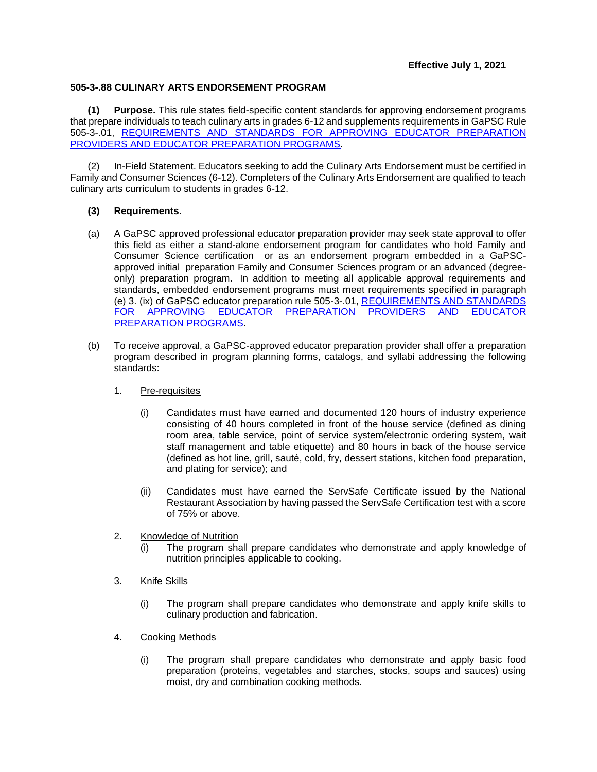## **505-3-.88 CULINARY ARTS ENDORSEMENT PROGRAM**

**(1) Purpose.** This rule states field-specific content standards for approving endorsement programs that prepare individuals to teach culinary arts in grades 6-12 and supplements requirements in GaPSC Rule 505-3-.01, [REQUIREMENTS AND STANDARDS FOR APPROVING](https://www.gapsc.com/Rules/Current/EducatorPreparation/505-3-.01.pdf?dt=%3C%25#Eval() EDUCATOR PREPARATION [PROVIDERS AND EDUCATOR PREPARATION PROGRAMS.](https://www.gapsc.com/Rules/Current/EducatorPreparation/505-3-.01.pdf?dt=%3C%25#Eval()

(2) In-Field Statement. Educators seeking to add the Culinary Arts Endorsement must be certified in Family and Consumer Sciences (6-12). Completers of the Culinary Arts Endorsement are qualified to teach culinary arts curriculum to students in grades 6-12.

## **(3) Requirements.**

- (a) A GaPSC approved professional educator preparation provider may seek state approval to offer this field as either a stand-alone endorsement program for candidates who hold Family and Consumer Science certification or as an endorsement program embedded in a GaPSCapproved initial preparation Family and Consumer Sciences program or an advanced (degreeonly) preparation program. In addition to meeting all applicable approval requirements and standards, embedded endorsement programs must meet requirements specified in paragraph (e) 3. (ix) of GaPSC educator preparation rule 505-3-.01, [REQUIREMENTS AND STANDARDS](https://www.gapsc.com/Rules/Current/EducatorPreparation/505-3-.01.pdf?dt=%3C%25#Eval()  [FOR APPROVING EDUCATOR PREPARATION PROVIDERS AND EDUCATOR](https://www.gapsc.com/Rules/Current/EducatorPreparation/505-3-.01.pdf?dt=%3C%25#Eval()  [PREPARATION PROGRAMS.](https://www.gapsc.com/Rules/Current/EducatorPreparation/505-3-.01.pdf?dt=%3C%25#Eval()
- (b) To receive approval, a GaPSC-approved educator preparation provider shall offer a preparation program described in program planning forms, catalogs, and syllabi addressing the following standards:
	- 1. Pre-requisites
		- (i) Candidates must have earned and documented 120 hours of industry experience consisting of 40 hours completed in front of the house service (defined as dining room area, table service, point of service system/electronic ordering system, wait staff management and table etiquette) and 80 hours in back of the house service (defined as hot line, grill, sauté, cold, fry, dessert stations, kitchen food preparation, and plating for service); and
		- (ii) Candidates must have earned the ServSafe Certificate issued by the National Restaurant Association by having passed the ServSafe Certification test with a score of 75% or above.
	- 2. Knowledge of Nutrition
		- (i) The program shall prepare candidates who demonstrate and apply knowledge of nutrition principles applicable to cooking.
	- 3. Knife Skills
		- (i) The program shall prepare candidates who demonstrate and apply knife skills to culinary production and fabrication.
	- 4. Cooking Methods
		- (i) The program shall prepare candidates who demonstrate and apply basic food preparation (proteins, vegetables and starches, stocks, soups and sauces) using moist, dry and combination cooking methods.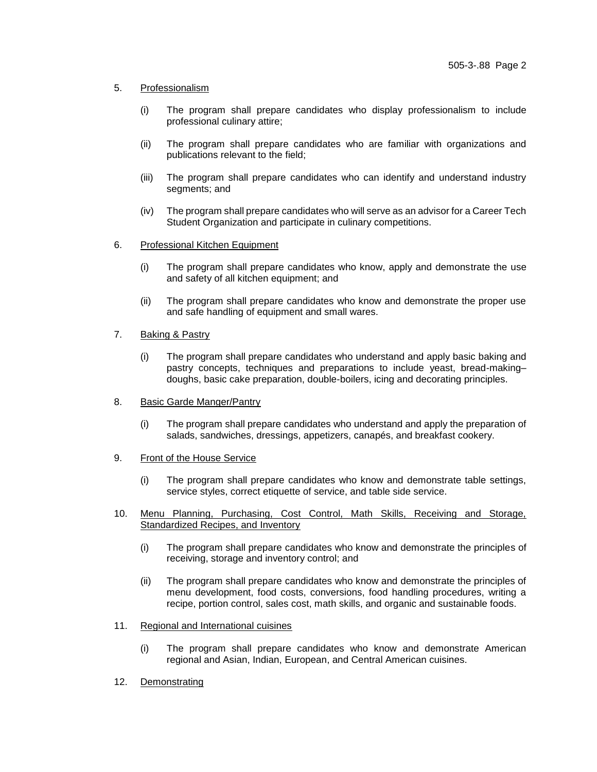## 5. Professionalism

- (i) The program shall prepare candidates who display professionalism to include professional culinary attire;
- (ii) The program shall prepare candidates who are familiar with organizations and publications relevant to the field;
- (iii) The program shall prepare candidates who can identify and understand industry segments; and
- (iv) The program shall prepare candidates who will serve as an advisor for a Career Tech Student Organization and participate in culinary competitions.
- 6. Professional Kitchen Equipment
	- (i) The program shall prepare candidates who know, apply and demonstrate the use and safety of all kitchen equipment; and
	- (ii) The program shall prepare candidates who know and demonstrate the proper use and safe handling of equipment and small wares.

## 7. Baking & Pastry

- (i) The program shall prepare candidates who understand and apply basic baking and pastry concepts, techniques and preparations to include yeast, bread-making– doughs, basic cake preparation, double-boilers, icing and decorating principles.
- 8. Basic Garde Manger/Pantry
	- (i) The program shall prepare candidates who understand and apply the preparation of salads, sandwiches, dressings, appetizers, canapés, and breakfast cookery.
- 9. Front of the House Service
	- (i) The program shall prepare candidates who know and demonstrate table settings, service styles, correct etiquette of service, and table side service.
- 10. Menu Planning, Purchasing, Cost Control, Math Skills, Receiving and Storage, Standardized Recipes, and Inventory
	- (i) The program shall prepare candidates who know and demonstrate the principles of receiving, storage and inventory control; and
	- (ii) The program shall prepare candidates who know and demonstrate the principles of menu development, food costs, conversions, food handling procedures, writing a recipe, portion control, sales cost, math skills, and organic and sustainable foods.
- 11. Regional and International cuisines
	- (i) The program shall prepare candidates who know and demonstrate American regional and Asian, Indian, European, and Central American cuisines.
- 12. Demonstrating